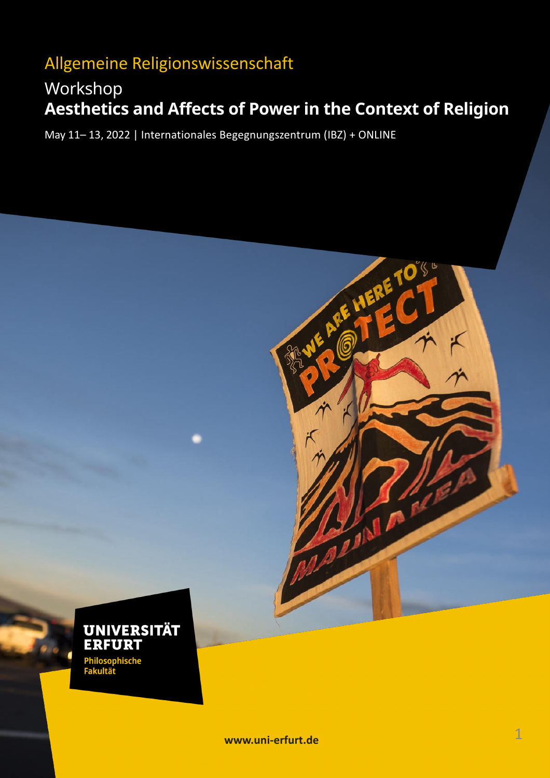# Allgemeine Religionswissenschaft

# Workshop **Aesthetics and Affects of Power in the Context of Religion**

RE HERE TO

 $\mathcal{L}_{\text{eff}}$ 

May 11– 13, 2022 | Internationales Begegnungszentrum (IBZ) + ONLINE



**www.uni-erfurt.de**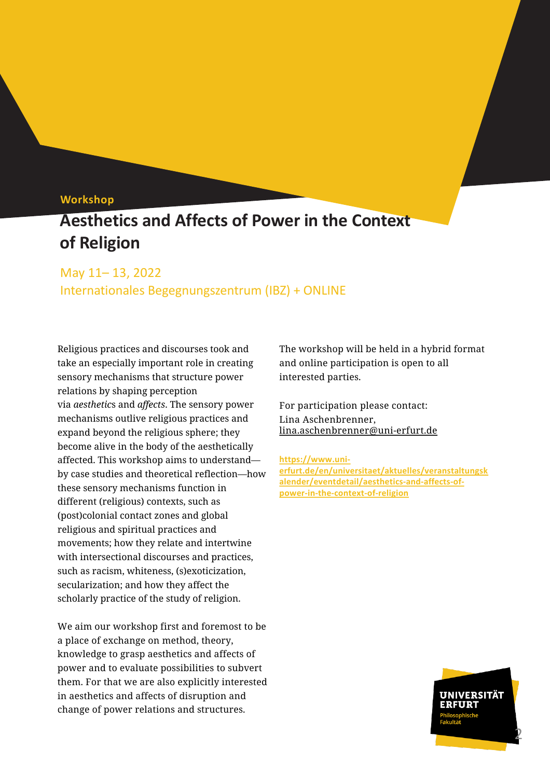## **Workshop**

# **Aesthetics and Affects of Power in the Context of Religion**

## May 11– 13, 2022

Internationales Begegnungszentrum (IBZ) + ONLINE

Religious practices and discourses took and take an especially important role in creating sensory mechanisms that structure power relations by shaping perception via *aesthetic*s and *affects*. The sensory power mechanisms outlive religious practices and expand beyond the religious sphere; they become alive in the body of the aesthetically affected. This workshop aims to understand by case studies and theoretical reflection—how these sensory mechanisms function in different (religious) contexts, such as (post)colonial contact zones and global religious and spiritual practices and movements; how they relate and intertwine with intersectional discourses and practices, such as racism, whiteness, (s)exoticization, secularization; and how they affect the scholarly practice of the study of religion.

We aim our workshop first and foremost to be a place of exchange on method, theory, knowledge to grasp aesthetics and affects of power and to evaluate possibilities to subvert them. For that we are also explicitly interested in aesthetics and affects of disruption and change of power relations and structures.

The workshop will be held in a hybrid format and online participation is open to all interested parties.

For participation please contact: Lina Aschenbrenner, lina.aschenbrenner@uni-erfurt.de

**https://www.unierfurt.de/en/universitaet/aktuelles/veranstaltungsk [alender/eventdetail/aesthetics-and-affe](mailto:lina.aschenbrenner@uni-erfurt.de)cts-ofpower-in-the-context-of-religion**

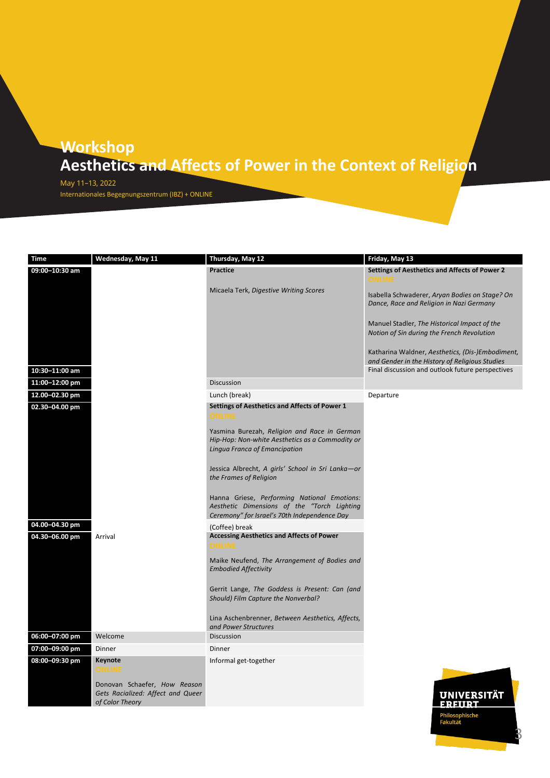May 11–13, 2022 Internationales Begegnungszentrum (IBZ) + ONLINE

| Time           | Wednesday, May 11                                                                    | Thursday, May 12                                                                                                                           | Friday, May 13                                                                                                                                         |
|----------------|--------------------------------------------------------------------------------------|--------------------------------------------------------------------------------------------------------------------------------------------|--------------------------------------------------------------------------------------------------------------------------------------------------------|
| 09:00-10:30 am |                                                                                      | <b>Practice</b>                                                                                                                            | Settings of Aesthetics and Affects of Power 2<br>ONLINE                                                                                                |
|                |                                                                                      | Micaela Terk, Digestive Writing Scores                                                                                                     | Isabella Schwaderer, Aryan Bodies on Stage? On<br>Dance, Race and Religion in Nazi Germany                                                             |
|                |                                                                                      |                                                                                                                                            | Manuel Stadler, The Historical Impact of the<br>Notion of Sin during the French Revolution                                                             |
| 10:30-11:00 am |                                                                                      |                                                                                                                                            | Katharina Waldner, Aesthetics, (Dis-)Embodiment,<br>and Gender in the History of Religious Studies<br>Final discussion and outlook future perspectives |
| 11:00-12:00 pm |                                                                                      | Discussion                                                                                                                                 |                                                                                                                                                        |
| 12.00-02.30 pm |                                                                                      | Lunch (break)                                                                                                                              | Departure                                                                                                                                              |
|                |                                                                                      | Settings of Aesthetics and Affects of Power 1                                                                                              |                                                                                                                                                        |
| 02.30-04.00 pm |                                                                                      | ONLINE                                                                                                                                     |                                                                                                                                                        |
|                |                                                                                      | Yasmina Burezah, Religion and Race in German<br>Hip-Hop: Non-white Aesthetics as a Commodity or<br>Lingua Franca of Emancipation           |                                                                                                                                                        |
|                |                                                                                      | Jessica Albrecht, A girls' School in Sri Lanka-or<br>the Frames of Religion                                                                |                                                                                                                                                        |
|                |                                                                                      | Hanna Griese, Performing National Emotions:<br>Aesthetic Dimensions of the "Torch Lighting<br>Ceremony" for Israel's 70th Independence Day |                                                                                                                                                        |
| 04.00-04.30 pm |                                                                                      | (Coffee) break                                                                                                                             |                                                                                                                                                        |
| 04.30-06.00 pm | Arrival                                                                              | <b>Accessing Aesthetics and Affects of Power</b>                                                                                           |                                                                                                                                                        |
|                |                                                                                      | ONLINE                                                                                                                                     |                                                                                                                                                        |
|                |                                                                                      | Maike Neufend, The Arrangement of Bodies and<br><b>Embodied Affectivity</b>                                                                |                                                                                                                                                        |
|                |                                                                                      | Gerrit Lange, The Goddess is Present: Can (and<br>Should) Film Capture the Nonverbal?                                                      |                                                                                                                                                        |
|                |                                                                                      | Lina Aschenbrenner, Between Aesthetics, Affects,<br>and Power Structures                                                                   |                                                                                                                                                        |
| 06:00-07:00 pm | Welcome                                                                              | <b>Discussion</b>                                                                                                                          |                                                                                                                                                        |
| 07:00-09:00 pm | Dinner                                                                               | Dinner                                                                                                                                     |                                                                                                                                                        |
| 08:00-09:30 pm | Keynote<br>ONLINE                                                                    | Informal get-together                                                                                                                      |                                                                                                                                                        |
|                | Donovan Schaefer, How Reason<br>Gets Racialized: Affect and Queer<br>of Color Theory |                                                                                                                                            | <b>UNIVERSITÄT</b>                                                                                                                                     |
|                |                                                                                      |                                                                                                                                            | FRFIIRT                                                                                                                                                |

3

rmosopi<br>Fakultät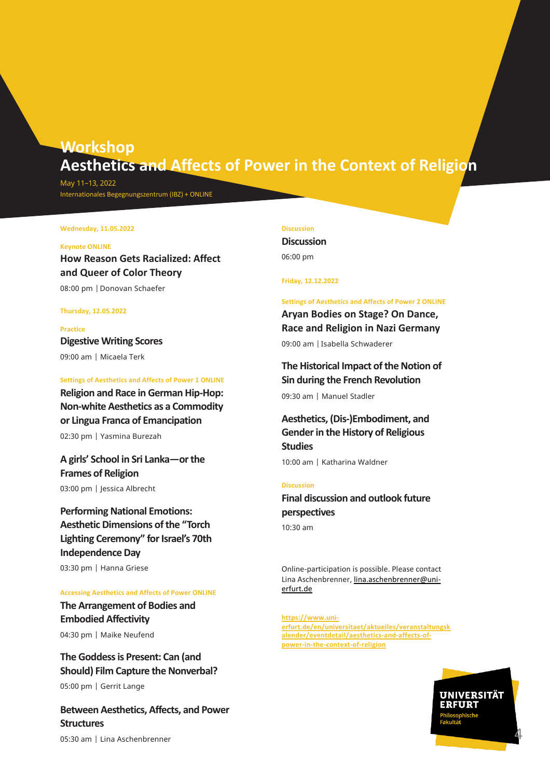May 11–13, 2022 Internationales Begegnungszentrum (IBZ) + ONLINE

#### **Wednesday, 11.05.2022**

### **Keynote ONLINE**

**How Reason Gets Racialized: Affect and Queer of Color Theory** 08:00 pm |Donovan Schaefer

### **Thursday, 12.05.2022**

**Practice Digestive Writing Scores** 09:00 am | Micaela Terk

#### **Settings of Aesthetics and Affects of Power 1 ONLINE**

**Religion and Race in German Hip-Hop: Non-white Aesthetics as a Commodity or Lingua Franca of Emancipation**

02:30 pm | Yasmina Burezah

**A girls' School in Sri Lanka—or the Frames of Religion**

03:00 pm | Jessica Albrecht

**Performing National Emotions: Aesthetic Dimensions of the "Torch Lighting Ceremony" for Israel's 70th Independence Day**

03:30 pm | Hanna Griese

### **Accessing Aesthetics and Affects of Power ONLINE**

**The Arrangement of Bodies and Embodied Affectivity**

04:30 pm | Maike Neufend

# **The Goddess is Present: Can (and Should) Film Capture the Nonverbal?**

05:00 pm | Gerrit Lange

**Between Aesthetics, Affects, and Power Structures** 05:30 am | Lina Aschenbrenner

#### **Discussion**

**Discussion** 06:00 pm

**Friday, 12.12.2022**

#### **Settings of Aesthetics and Affects of Power 2 ONLINE**

**Aryan Bodies on Stage? On Dance, Race and Religion in Nazi Germany** 09:00 am |Isabella Schwaderer

## **The Historical Impact of the Notion of Sin during the French Revolution**

09:30 am | Manuel Stadler

# **Aesthetics, (Dis-)Embodiment, and Gender in the History of Religious Studies**

10:00 am | Katharina Waldner

### **Discussion**

**Final discussion and outlook future perspectives**

10:30 am

Online-participation is possible. Please contact Lina Aschenbrenner, lina.aschenbrenner@unierfurt.de

**https://www.uni[erfurt.de/en/universitaet/aktuelles/veranstaltung](mailto:lina.aschenbrenner@uni-erfurt.de)sk alender/eventdetail/aesthetics-and-affects-ofpower-in-the-context-of-religion**

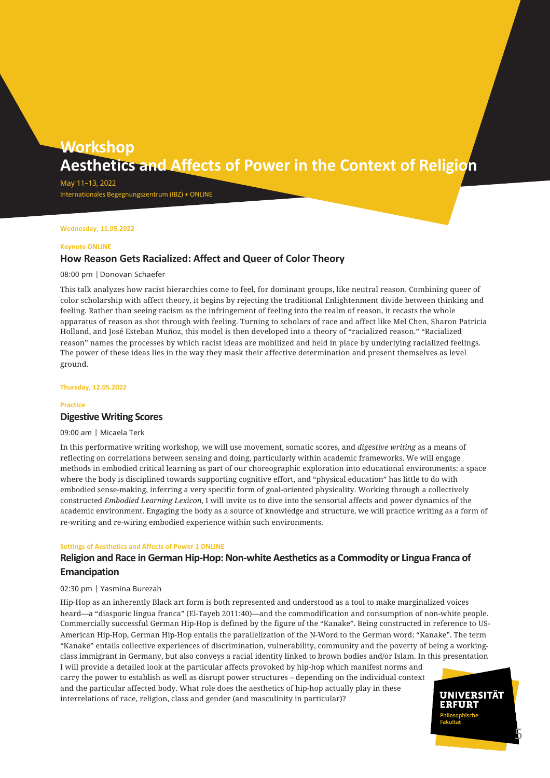May 11–13, 2022 Internationales Begegnungszentrum (IBZ) + ONLINE

### **Wednesday, 11.05.2022**

#### **Keynote ONLINE**

## **How Reason Gets Racialized: Affect and Queer of Color Theory**

### 08:00 pm |Donovan Schaefer

This talk analyzes how racist hierarchies come to feel, for dominant groups, like neutral reason. Combining queer of color scholarship with affect theory, it begins by rejecting the traditional Enlightenment divide between thinking and feeling. Rather than seeing racism as the infringement of feeling into the realm of reason, it recasts the whole apparatus of reason as shot through with feeling. Turning to scholars of race and affect like Mel Chen, Sharon Patricia Holland, and José Esteban Muñoz, this model is then developed into a theory of "racialized reason." "Racialized reason" names the processes by which racist ideas are mobilized and held in place by underlying racialized feelings. The power of these ideas lies in the way they mask their affective determination and present themselves as level ground.

#### **Thursday, 12.05.2022**

#### **Practice**

### **Digestive Writing Scores**

09:00 am | Micaela Terk

In this performative writing workshop, we will use movement, somatic scores, and *digestive writing* as a means of reflecting on correlations between sensing and doing, particularly within academic frameworks. We will engage methods in embodied critical learning as part of our choreographic exploration into educational environments: a space where the body is disciplined towards supporting cognitive effort, and "physical education" has little to do with embodied sense-making, inferring a very specific form of goal-oriented physicality. Working through a collectively constructed *Embodied Learning Lexicon*, I will invite us to dive into the sensorial affects and power dynamics of the academic environment. Engaging the body as a source of knowledge and structure, we will practice writing as a form of re-writing and re-wiring embodied experience within such environments.

#### **Settings of Aesthetics and Affects of Power 1 ONLINE**

## **Religion and Race in German Hip-Hop: Non-white Aesthetics as a Commodity or Lingua Franca of Emancipation**

### 02:30 pm | Yasmina Burezah

Hip-Hop as an inherently Black art form is both represented and understood as a tool to make marginalized voices heard—a "diasporic lingua franca" (El-Tayeb 2011:40)—and the commodification and consumption of non-white people. Commercially successful German Hip-Hop is defined by the figure of the "Kanake". Being constructed in reference to US-American Hip-Hop, German Hip-Hop entails the parallelization of the N-Word to the German word: "Kanake". The term "Kanake" entails collective experiences of discrimination, vulnerability, community and the poverty of being a workingclass immigrant in Germany, but also conveys a racial identity linked to brown bodies and/or Islam. In this presentation

I will provide a detailed look at the particular affects provoked by hip-hop which manifest norms and carry the power to establish as well as disrupt power structures – depending on the individual context and the particular affected body. What role does the aesthetics of hip-hop actually play in these interrelations of race, religion, class and gender (and masculinity in particular)?

UNIVERSITÄT **ERFURT** 

5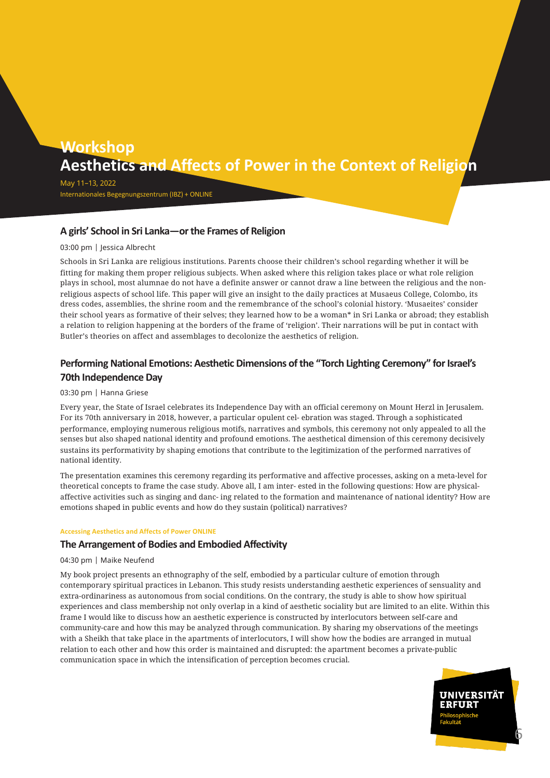May 11–13, 2022 Internationales Begegnungszentrum (IBZ) + ONLINE

## **A girls' School in Sri Lanka—or the Frames of Religion**

## 03:00 pm | Jessica Albrecht

Schools in Sri Lanka are religious institutions. Parents choose their children's school regarding whether it will be fitting for making them proper religious subjects. When asked where this religion takes place or what role religion plays in school, most alumnae do not have a definite answer or cannot draw a line between the religious and the nonreligious aspects of school life. This paper will give an insight to the daily practices at Musaeus College, Colombo, its dress codes, assemblies, the shrine room and the remembrance of the school's colonial history. 'Musaeites' consider their school years as formative of their selves; they learned how to be a woman\* in Sri Lanka or abroad; they establish a relation to religion happening at the borders of the frame of 'religion'. Their narrations will be put in contact with Butler's theories on affect and assemblages to decolonize the aesthetics of religion.

## **Performing National Emotions: Aesthetic Dimensions of the "Torch Lighting Ceremony" for Israel's 70th Independence Day**

## 03:30 pm | Hanna Griese

Every year, the State of Israel celebrates its Independence Day with an official ceremony on Mount Herzl in Jerusalem. For its 70th anniversary in 2018, however, a particular opulent cel- ebration was staged. Through a sophisticated performance, employing numerous religious motifs, narratives and symbols, this ceremony not only appealed to all the senses but also shaped national identity and profound emotions. The aesthetical dimension of this ceremony decisively sustains its performativity by shaping emotions that contribute to the legitimization of the performed narratives of national identity.

The presentation examines this ceremony regarding its performative and affective processes, asking on a meta-level for theoretical concepts to frame the case study. Above all, I am inter- ested in the following questions: How are physicalaffective activities such as singing and danc- ing related to the formation and maintenance of national identity? How are emotions shaped in public events and how do they sustain (political) narratives?

## **Accessing Aesthetics and Affects of Power ONLINE**

## **The Arrangement of Bodies and Embodied Affectivity**

## 04:30 pm | Maike Neufend

My book project presents an ethnography of the self, embodied by a particular culture of emotion through contemporary spiritual practices in Lebanon. This study resists understanding aesthetic experiences of sensuality and extra-ordinariness as autonomous from social conditions. On the contrary, the study is able to show how spiritual experiences and class membership not only overlap in a kind of aesthetic sociality but are limited to an elite. Within this frame I would like to discuss how an aesthetic experience is constructed by interlocutors between self-care and community-care and how this may be analyzed through communication. By sharing my observations of the meetings with a Sheikh that take place in the apartments of interlocutors, I will show how the bodies are arranged in mutual relation to each other and how this order is maintained and disrupted: the apartment becomes a private-public communication space in which the intensification of perception becomes crucial.

> UNIVERSITÄT **ERFURT**

6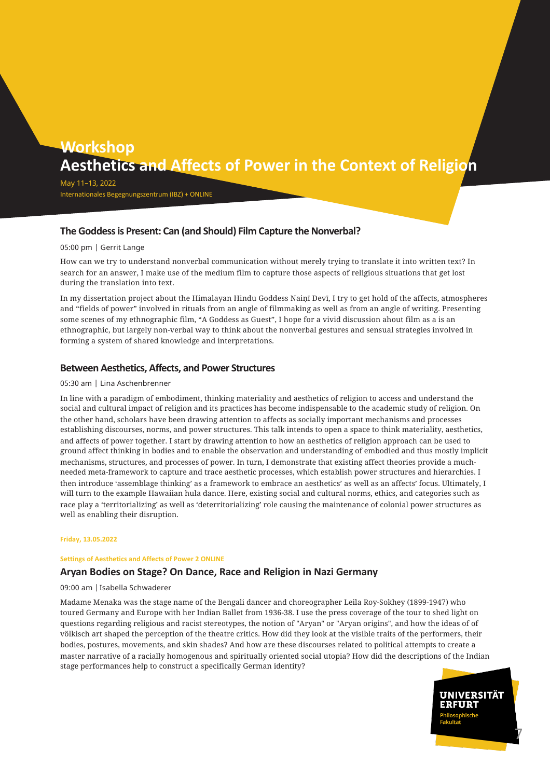May 11–13, 2022 Internationales Begegnungszentrum (IBZ) + ONLINE

## **The Goddess is Present: Can (and Should) Film Capture the Nonverbal?**

## 05:00 pm | Gerrit Lange

How can we try to understand nonverbal communication without merely trying to translate it into written text? In search for an answer, I make use of the medium film to capture those aspects of religious situations that get lost during the translation into text.

In my dissertation project about the Himalayan Hindu Goddess Naiṇī Devī, I try to get hold of the affects, atmospheres and "fields of power" involved in rituals from an angle of filmmaking as well as from an angle of writing. Presenting some scenes of my ethnographic film, "A Goddess as Guest", I hope for a vivid discussion ahout film as a is an ethnographic, but largely non-verbal way to think about the nonverbal gestures and sensual strategies involved in forming a system of shared knowledge and interpretations.

## **Between Aesthetics, Affects, and Power Structures**

## 05:30 am | Lina Aschenbrenner

In line with a paradigm of embodiment, thinking materiality and aesthetics of religion to access and understand the social and cultural impact of religion and its practices has become indispensable to the academic study of religion. On the other hand, scholars have been drawing attention to affects as socially important mechanisms and processes establishing discourses, norms, and power structures. This talk intends to open a space to think materiality, aesthetics, and affects of power together. I start by drawing attention to how an aesthetics of religion approach can be used to ground affect thinking in bodies and to enable the observation and understanding of embodied and thus mostly implicit mechanisms, structures, and processes of power. In turn, I demonstrate that existing affect theories provide a muchneeded meta-framework to capture and trace aesthetic processes, which establish power structures and hierarchies. I then introduce 'assemblage thinking' as a framework to embrace an aesthetics' as well as an affects' focus. Ultimately, I will turn to the example Hawaiian hula dance. Here, existing social and cultural norms, ethics, and categories such as race play a 'territorializing' as well as 'deterritorializing' role causing the maintenance of colonial power structures as well as enabling their disruption.

### **Friday, 13.05.2022**

#### **Settings of Aesthetics and Affects of Power 2 ONLINE**

## **Aryan Bodies on Stage? On Dance, Race and Religion in Nazi Germany**

## 09:00 am |Isabella Schwaderer

Madame Menaka was the stage name of the Bengali dancer and choreographer Leila Roy-Sokhey (1899-1947) who toured Germany and Europe with her Indian Ballet from 1936-38. I use the press coverage of the tour to shed light on questions regarding religious and racist stereotypes, the notion of "Aryan" or "Aryan origins", and how the ideas of of völkisch art shaped the perception of the theatre critics. How did they look at the visible traits of the performers, their bodies, postures, movements, and skin shades? And how are these discourses related to political attempts to create a master narrative of a racially homogenous and spiritually oriented social utopia? How did the descriptions of the Indian stage performances help to construct a specifically German identity?

> UNIVERSITÄT **ERFURT**

> > 7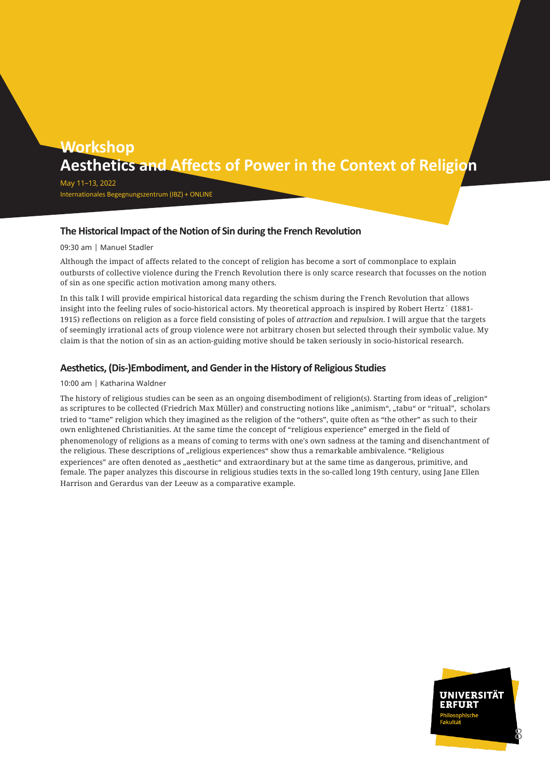May 11–13, 2022 Internationales Begegnungszentrum (IBZ) + ONLINE

## **The Historical Impact of the Notion of Sin during the French Revolution**

## 09:30 am | Manuel Stadler

Although the impact of affects related to the concept of religion has become a sort of commonplace to explain outbursts of collective violence during the French Revolution there is only scarce research that focusses on the notion of sin as one specific action motivation among many others.

In this talk I will provide empirical historical data regarding the schism during the French Revolution that allows insight into the feeling rules of socio-historical actors. My theoretical approach is inspired by Robert Hertz´ (1881- 1915) reflections on religion as a force field consisting of poles of *attraction* and *repulsion*. I will argue that the targets of seemingly irrational acts of group violence were not arbitrary chosen but selected through their symbolic value. My claim is that the notion of sin as an action-guiding motive should be taken seriously in socio-historical research.

## **Aesthetics, (Dis-)Embodiment, and Gender in the History of Religious Studies**

## 10:00 am | Katharina Waldner

The history of religious studies can be seen as an ongoing disembodiment of religion(s). Starting from ideas of "religion" as scriptures to be collected (Friedrich Max Müller) and constructing notions like "animism", "tabu" or "ritual", scholars tried to "tame" religion which they imagined as the religion of the "others", quite often as "the other" as such to their own enlightened Christianities. At the same time the concept of "religious experience" emerged in the field of phenomenology of religions as a means of coming to terms with one's own sadness at the taming and disenchantment of the religious. These descriptions of "religious experiences" show thus a remarkable ambivalence. "Religious experiences" are often denoted as "aesthetic" and extraordinary but at the same time as dangerous, primitive, and female. The paper analyzes this discourse in religious studies texts in the so-called long 19th century, using Jane Ellen Harrison and Gerardus van der Leeuw as a comparative example.